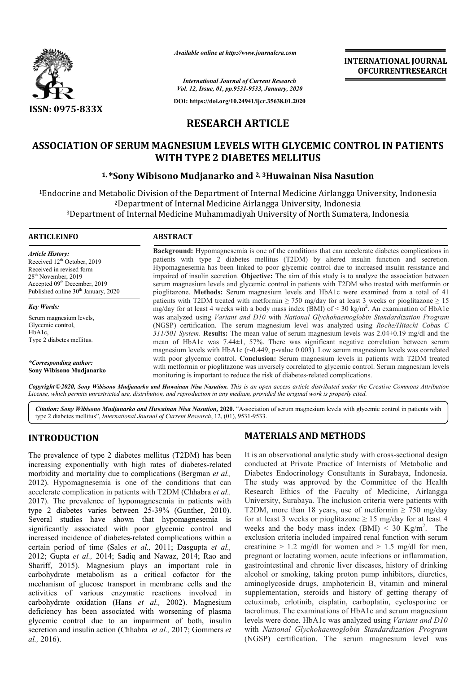

*Available online at http://www.journalcra.com*

**INTERNATIONAL JOURNAL OFCURRENTRESEARCH**

*International Journal of Current Research Vol. 12, Issue, 01, pp.9531-9533, January, 2020*

**DOI: https://doi.org/10.24941/ijcr.35638.01.2020**

# **RESEARCH ARTICLE**

## **ASSOCIATION OF SERUM MAGNESIUM LEVELS WITH GLYCEMIC CONTROL IN PATIENTS WITH GLYCEMIC WITH TYPE 2 DIABETES MELLITUS**

## **1, \*Sony Wibisono Mudjanarko and Sony 2, 3Huwainan Nisa Nasution**

<sup>1</sup>Endocrine and Metabolic Division of the Department of Internal Medicine Airlangga University, Indonesia<br><sup>2</sup>Department of Internal Medicine Airlangga University, Indonesia<br><sup>3</sup>Department of Internal Medicine Muhammadiyah 2Department of Internal Medicine Airlangga University, Indonesia rine and Metabolic Division of the Department of Internal Medicine Airlangga University, In<br><sup>2</sup>Department of Internal Medicine Airlangga University, Indonesia<br><sup>3</sup>Department of Internal Medicine Muhammadiyah University of N

| <b>ARTICLEINFO</b>                                                                                                                                                                                                        | <b>ABSTRACT</b>                                                                                                                                                                                                                                                                                                                                                                                                                                                                                                                                                                                                        |
|---------------------------------------------------------------------------------------------------------------------------------------------------------------------------------------------------------------------------|------------------------------------------------------------------------------------------------------------------------------------------------------------------------------------------------------------------------------------------------------------------------------------------------------------------------------------------------------------------------------------------------------------------------------------------------------------------------------------------------------------------------------------------------------------------------------------------------------------------------|
| Article History:<br>Received 12 <sup>th</sup> October, 2019<br>Received in revised form<br>28 <sup>th</sup> November, 2019<br>Accepted 09 <sup>th</sup> December, 2019<br>Published online 30 <sup>th</sup> January, 2020 | <b>Background:</b> Hypomagnesemia is one of the conditions that can accelerate diabetes complications in<br>patients with type 2 diabetes mellitus (T2DM) by altered insulin function and secretion.<br>Hypomagnesemia has been linked to poor glycemic control due to increased insulin resistance and<br>impaired of insulin secretion. <b>Objective:</b> The aim of this study is to analyze the association between<br>serum magnesium levels and glycemic control in patients with T2DM who treated with metformin or<br>pioglitazone. Methods: Serum magnesium levels and HbA1c were examined from a total of 41 |
| <b>Key Words:</b>                                                                                                                                                                                                         | patients with T2DM treated with metformin $\geq$ 750 mg/day for at least 3 weeks or pioglitazone $\geq$ 15<br>mg/day for at least 4 weeks with a body mass index (BMI) of $\leq$ 30 kg/m <sup>2</sup> . An examination of HbA1c                                                                                                                                                                                                                                                                                                                                                                                        |
| Serum magnesium levels,<br>Glycemic control,<br>HbA1c,<br>Type 2 diabetes mellitus.                                                                                                                                       | was analyzed using Variant and D10 with National Glychohaemoglobin Standardization Program<br>(NGSP) certification. The serum magnesium level was analyzed using Roche/Hitachi Cobas C<br>$311/501$ System. Results: The mean value of serum magnesium levels was $2.04\pm0.19$ mg/dl and the<br>mean of HbA1c was 7.44±1, 57%. There was significant negative correlation between serum                                                                                                                                                                                                                               |
| *Corresponding author:<br>Sony Wibisono Mudjanarko                                                                                                                                                                        | magnesium levels with HbA1c (r-0.449, p-value 0.003). Low serum magnesium levels was correlated<br>with poor glycemic control. Conclusion: Serum magnesium levels in patients with T2DM treated<br>with metformin or pioglitazone was inversely correlated to glycemic control. Serum magnesium levels<br>monitoring is important to reduce the risk of diabetes-related complications.                                                                                                                                                                                                                                |

Copyright © 2020, Sony Wibisono Mudjanarko and Huwainan Nisa Nasution. This is an open access article distributed under the Creative Commons Attribution License, which permits unrestricted use, distribution, and reproduction in any medium, provided the original work is properly cited.

Citation: Sony Wibisono Mudjanarko and Huwainan Nisa Nasution, 2020. "Association of serum magnesium levels with glycemic control in patients with type 2 diabetes mellitus", *International Journal of Current Research*, 12, (01), 9531-9533.

## **INTRODUCTION**

The prevalence of type 2 diabetes mellitus (T2DM) has been increasing exponentially with high rates of diabetes-related morbidity and mortality due to complications (Bergman *et al.,*  2012). Hypomagnesemia is one of the conditions that can accelerate complication in patients with T2DM (Chhabra *et al.,*  2017). The prevalence of hypomagnesemia in patien patients with type 2 diabetes varies between 25-39% (Gunther, 2010). Several studies have shown that hypomagnesemia is significantly associated with poor glycemic control and increased incidence of diabetes-related complications within a increased incidence of diabetes-related complications within a certain period of time (Sales *et al.*, 2011; Dasgupta *et al.*, 2012; Gupta et al., 2014; Sadiq and Nawaz, 2014; Rao and Shariff, 2015). Magnesium plays an important role in carbohydrate metabolism as a critical cofactor for the mechanism of glucose transport in membrane cells and the activities of various enzymatic reactions involved in carbohydrate oxidation (Hans et al., 2002). Magnesium deficiency has been associated with worsening of plasma glycemic control due to an impairment of both, insulin secretion and insulin action (Chhabra et al., 2017; Gommers et *al.,* 2016).

## **MATERIALS AND METHODS METHODS**

It is an observational analytic study with cross-sectional design conducted at Private Practice of Internists of Metabolic and Diabetes Endocrinology Consultants in Surabaya, Indonesia. The study was approved by the Committee of the Health Research Ethics of the Faculty of Medicine, Airlangga University, Surabaya. The inclusion criteria were patients with conducted at Private Practice of Internists of Metabolic and Diabetes Endocrinology Consultants in Surabaya, Indonesia. The study was approved by the Committee of the Health Research Ethics of the Faculty of Medicine, Air for at least 3 weeks or pioglitazone  $\geq 15$  mg/day for at least 4 weeks and the body mass index  $(BMI) < 30$  Kg/m<sup>2</sup>. The exclusion criteria included impaired renal function with serum creatinine  $> 1.2$  mg/dl for women and  $> 1.5$  mg/dl for men, pregnant or lactating women, acute infections or inflammation, gastrointestinal and chronic liver diseases, history of drinking alcohol or smoking, taking proton pump inhibitors, diuretics, aminoglycoside drugs, amphotericin B, vitamin and mineral supplementation, steroids and history of getting therapy of cetuximab, erlotinib, cisplatin, carboplatin, cyclosporine or tacrolimus. The examinations of HbA1c and serum magnesium levels were done. HbA1c was analyzed using *Variant and D10*  with *National Glychohaemoglobin Standardization Program Glychohaemoglobin Standardization* (NGSP) certification. The serum magnesium level was exclusion criteria included impaired renal function with serum<br>creatinine > 1.2 mg/dl for women and > 1.5 mg/dl for men,<br>pregnant or lactating women, acute infections or inflammation,<br>gastrointestinal and chronic liver dis **INTERNATIONAL JOURNAL OF CURREMTED (INTERNATIONAL SURPAREST)<br>
<b>CCONTROL IN PATIENTS**<br> **Sa Nasution**<br> **International University, Indonesia**<br> **Infonesia**<br> **Infonesia**<br> **Infonesia**<br> **Infonesia**<br> **Infonesia**<br> **Infonesia**<br>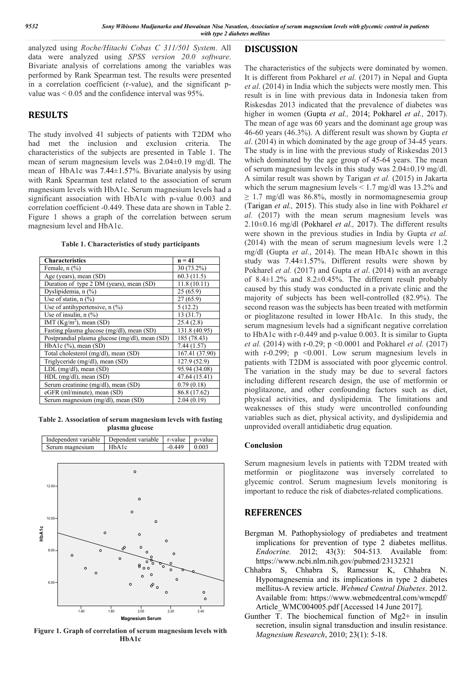analyzed using *Roche/Hitachi Cobas C 311/501 System*. All data were analyzed using *SPSS version 20.0 software*. Bivariate analysis of correlations among the variables was performed by Rank Spearman test. The results were presented in a correlation coefficient (r-value), and the significant pvalue was  $\leq 0.05$  and the confidence interval was 95%.

#### **RESULTS**

The study involved 41 subjects of patients with T2DM who had met the inclusion and exclusion criteria. The characteristics of the subjects are presented in Table 1. The mean of serum magnesium levels was 2.04±0.19 mg/dl. The mean of HbA1c was 7.44±1.57%. Bivariate analysis by using with Rank Spearman test related to the association of serum magnesium levels with HbA1c. Serum magnesium levels had a significant association with HbA1c with p-value 0.003 and correlation coefficient -0.449. These data are shown in Table 2. Figure 1 shows a graph of the correlation between serum magnesium level and HbA1c.

| Table 1. Characteristics of study participants |  |  |
|------------------------------------------------|--|--|
|------------------------------------------------|--|--|

| <b>Characteristics</b>                         | $n = 41$      |
|------------------------------------------------|---------------|
| Female, $n$ $(\%)$                             | 30 (73.2%)    |
| Age (years), mean (SD)                         | 60.3(11.5)    |
| Duration of type 2 DM (years), mean (SD)       | 11.8(10.11)   |
| Dyslipidemia, n (%)                            | 25(65.9)      |
| Use of statin, $n$ (%)                         | 27(65.9)      |
| Use of antihypertensive, n (%)                 | 5(12.2)       |
| Use of insulin, $n$ $(\%)$                     | 13(31.7)      |
| IMT ( $Kg/m2$ ), mean (SD)                     | 25.4(2.8)     |
| Fasting plasma glucose (mg/dl), mean (SD)      | 131.8 (40.95) |
| Postprandial plasma glucose (mg/dl), mean (SD) | 185 (78.43)   |
| $HbA1c$ (%), mean (SD)                         | 7.44(1.57)    |
| Total cholesterol (mg/dl), mean (SD)           | 167.41(37.90) |
| Triglyceride (mg/dl), mean (SD)                | 127.9 (52.9)  |
| LDL (mg/dl), mean (SD)                         | 95.94 (34.08) |
| HDL (mg/dl), mean (SD)                         | 47.64 (15.41) |
| Serum creatinine (mg/dl), mean (SD)            | 0.79(0.18)    |
| eGFR (ml/minute), mean (SD)                    | 86.8 (17.62)  |
| Serum magnesium (mg/dl), mean (SD)             | 2.04(0.19)    |

**Table 2. Association of serum magnesium levels with fasting plasma glucose**



**Figure 1. Graph of correlation of serum magnesium levels with HbA1c**

#### **DISCUSSION**

The characteristics of the subjects were dominated by women. It is different from Pokharel *et al.* (2017) in Nepal and Gupta *et al*. (2014) in India which the subjects were mostly men. This result is in line with previous data in Indonesia taken from Riskesdas 2013 indicated that the prevalence of diabetes was higher in women (Gupta *et al.,* 2014; Pokharel *et al.,* 2017). The mean of age was 60 years and the dominant age group was 46-60 years (46.3%). A different result was shown by Gupta *et al*. (2014) in which dominated by the age group of 34-45 years. The study is in line with the previous study of Riskesdas 2013 which dominated by the age group of 45-64 years. The mean of serum magnesium levels in this study was 2.04±0.19 mg/dl. A similar result was shown by Tarigan *et al.* (2015) in Jakarta which the serum magnesium levels  $\leq 1.7$  mg/dl was 13.2% and  $\geq$  1.7 mg/dl was 86.8%, mostly in normomagnesemia group (Tarigan *et al.,* 2015). This study also in line with Pokharel *et al.* (2017) with the mean serum magnesium levels was 2.10±0.16 mg/dl (Pokharel *et al.,* 2017). The different results were shown in the previous studies in India by Gupta *et al.* (2014) with the mean of serum magnesium levels were 1.2 mg/dl (Gupta *et al.*, 2014). The mean HbA1c shown in this study was 7.44±1.57%. Different results were shown by Pokharel *et al.* (2017) and Gupta *et al.* (2014) with an average of 8.4±1.2% and 8.2±0.45%. The different result probably caused by this study was conducted in a private clinic and the majority of subjects has been well-controlled (82.9%). The second reason was the subjects has been treated with metformin or pioglitazone resulted in lower HbA1c. In this study, the serum magnesium levels had a significant negative correlation to HbA1c with r-0.449 and p-value 0.003. It is similar to Gupta *et al.* (2014) with r-0.29; p <0.0001 and Pokharel *et al.* (2017) with r-0.299;  $p \le 0.001$ . Low serum magnesium levels in patients with T2DM is associated with poor glycemic control. The variation in the study may be due to several factors including different research design, the use of metformin or pioglitazone, and other confounding factors such as diet, physical activities, and dyslipidemia. The limitations and weaknesses of this study were uncontrolled confounding variables such as diet, physical activity, and dyslipidemia and unprovided overall antidiabetic drug equation.

#### **Conclusion**

Serum magnesium levels in patients with T2DM treated with metformin or pioglitazone was inversely correlated to glycemic control. Serum magnesium levels monitoring is important to reduce the risk of diabetes-related complications.

#### **REFERENCES**

- Bergman M. Pathophysiology of prediabetes and treatment implications for prevention of type 2 diabetes mellitus. *Endocrine.* 2012; 43(3): 504-513*.* Available from: https://www.ncbi.nlm.nih.gov/pubmed/23132321
- Chhabra S, Chhabra S, Ramessur K, Chhabra N. Hypomagnesemia and its implications in type 2 diabetes mellitus-A review article. *Webmed Central Diabetes*. 2012. Available from: https://www.webmedcentral.com/wmcpdf/ Article\_WMC004005.pdf [Accessed 14 June 2017].
- Gunther T. The biochemical function of Mg2+ in insulin secretion, insulin signal transduction and insulin resistance. *Magnesium Research*, 2010; 23(1): 5-18.